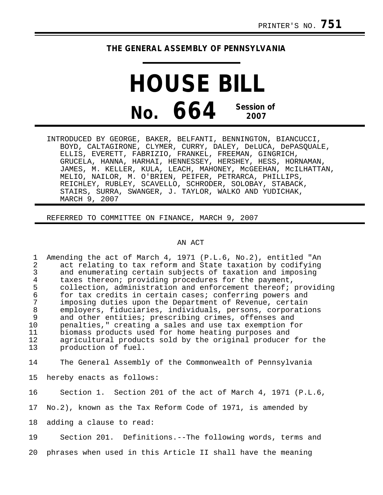## **THE GENERAL ASSEMBLY OF PENNSYLVANIA**

**HOUSE BILL No. 664 Session of 2007**

INTRODUCED BY GEORGE, BAKER, BELFANTI, BENNINGTON, BIANCUCCI, BOYD, CALTAGIRONE, CLYMER, CURRY, DALEY, DeLUCA, DePASQUALE, ELLIS, EVERETT, FABRIZIO, FRANKEL, FREEMAN, GINGRICH, GRUCELA, HANNA, HARHAI, HENNESSEY, HERSHEY, HESS, HORNAMAN, JAMES, M. KELLER, KULA, LEACH, MAHONEY, McGEEHAN, McILHATTAN, MELIO, NAILOR, M. O'BRIEN, PEIFER, PETRARCA, PHILLIPS, REICHLEY, RUBLEY, SCAVELLO, SCHRODER, SOLOBAY, STABACK, STAIRS, SURRA, SWANGER, J. TAYLOR, WALKO AND YUDICHAK, MARCH 9, 2007

REFERRED TO COMMITTEE ON FINANCE, MARCH 9, 2007

## AN ACT

1 Amending the act of March 4, 1971 (P.L.6, No.2), entitled "An<br>2 act relating to tax reform and State taxation by codifying 2 act relating to tax reform and State taxation by codifying<br>3 and enumerating certain subjects of taxation and imposing 3 and enumerating certain subjects of taxation and imposing<br>4 taxes thereon; providing procedures for the payment. 4 taxes thereon; providing procedures for the payment,<br>5 collection, administration and enforcement thereof; 5 collection, administration and enforcement thereof; providing<br>6 for tax credits in certain cases; conferring powers and 6 for tax credits in certain cases; conferring powers and 7 imposing duties upon the Department of Revenue, certain 8 employers, fiduciaries, individuals, persons, corporations<br>9 and other entities; prescribing crimes, offenses and and other entities; prescribing crimes, offenses and 10 penalties," creating a sales and use tax exemption for 11 biomass products used for home heating purposes and 12 agricultural products sold by the original producer for the<br>13 sproduction of fuel. production of fuel.

14 The General Assembly of the Commonwealth of Pennsylvania

15 hereby enacts as follows:

16 Section 1. Section 201 of the act of March 4, 1971 (P.L.6,

17 No.2), known as the Tax Reform Code of 1971, is amended by

18 adding a clause to read:

19 Section 201. Definitions.--The following words, terms and

20 phrases when used in this Article II shall have the meaning